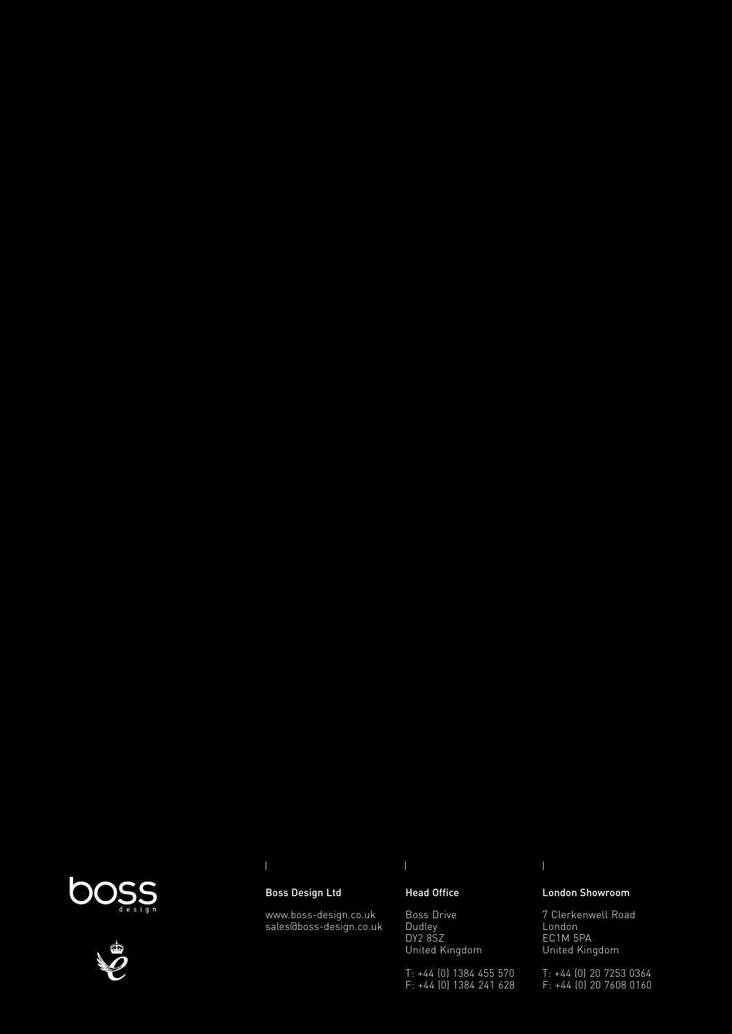



### Boss Design Ltd

www.boss-design.co.uk sales@boss-design.co.uk

#### Head Office

Boss Drive Dudley DY2 8SZ United Kingdom

T: +44 (0) 1384 455 570 F: +44 (0) 1384 241 628

#### London Showroom

7 Clerkenwell Road London EC1M 5PA United Kingdom

T: +44 (0) 20 7253 0364 F: +44 (0) 20 7608 0160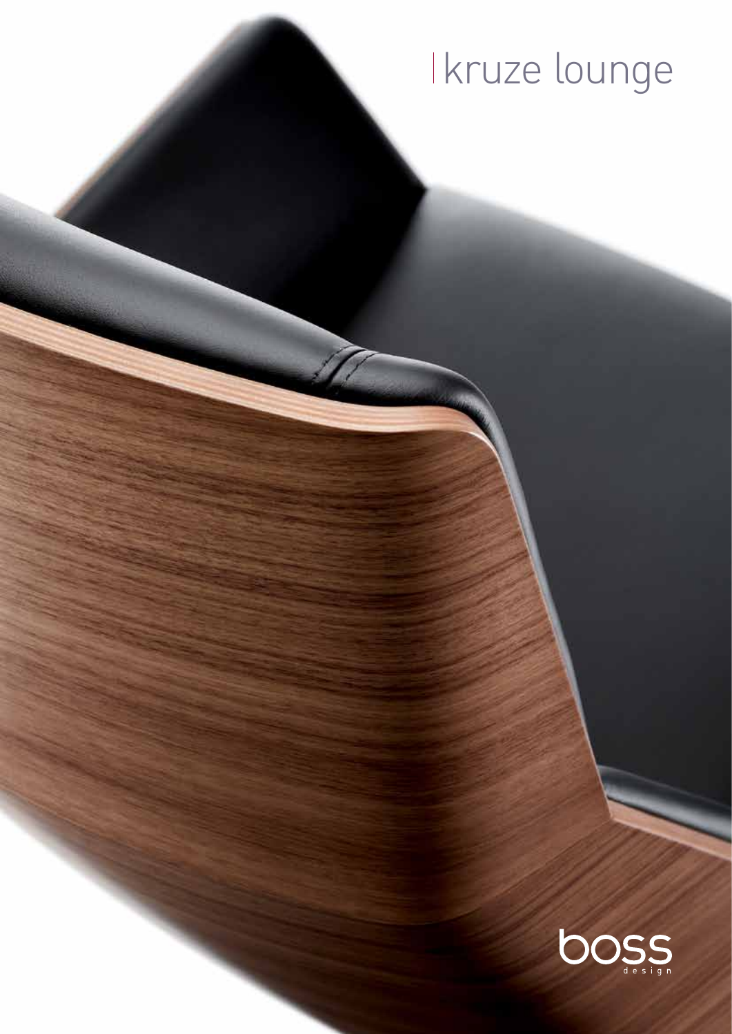# kruze lounge

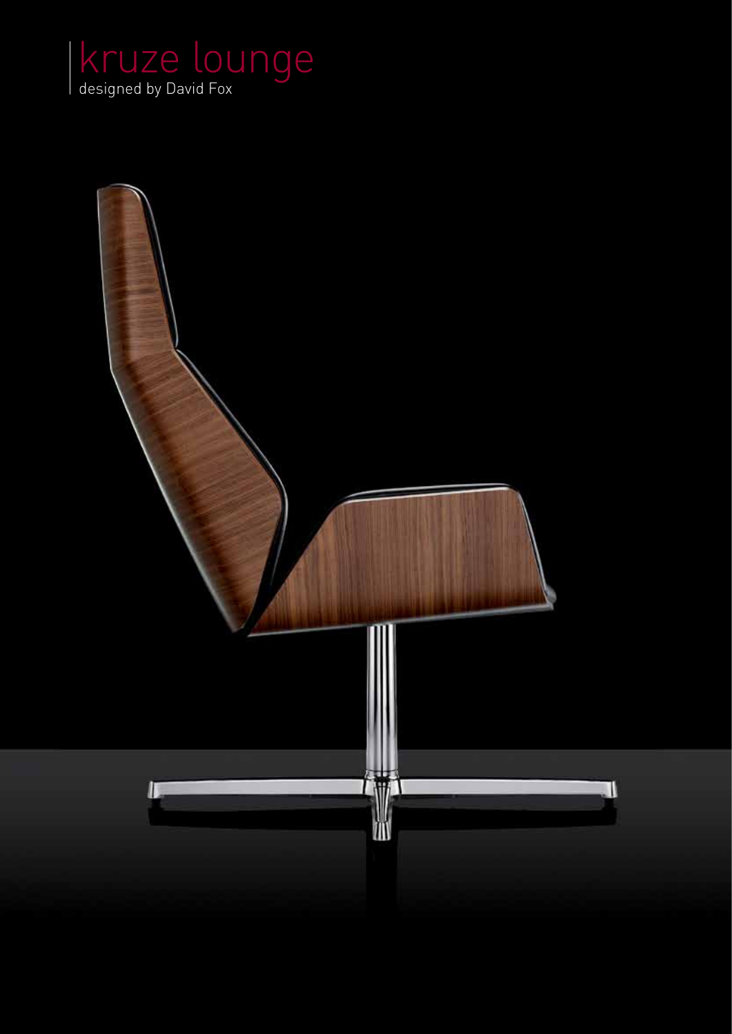

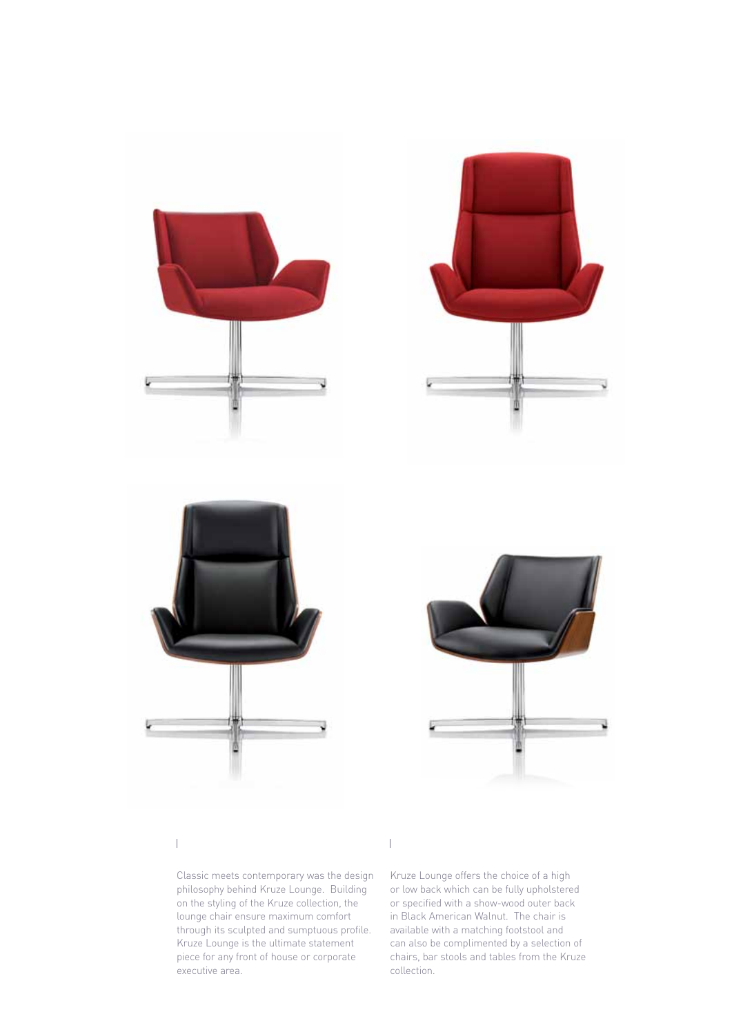







 $\overline{1}$ 

Classic meets contemporary was the design philosophy behind Kruze Lounge. Building on the styling of the Kruze collection, the lounge chair ensure maximum comfort through its sculpted and sumptuous profile. Kruze Lounge is the ultimate statement piece for any front of house or corporate executive area.

Kruze Lounge offers the choice of a high or low back which can be fully upholstered or specified with a show-wood outer back in Black American Walnut. The chair is available with a matching footstool and can also be complimented by a selection of chairs, bar stools and tables from the Kruze collection.

 $\overline{1}$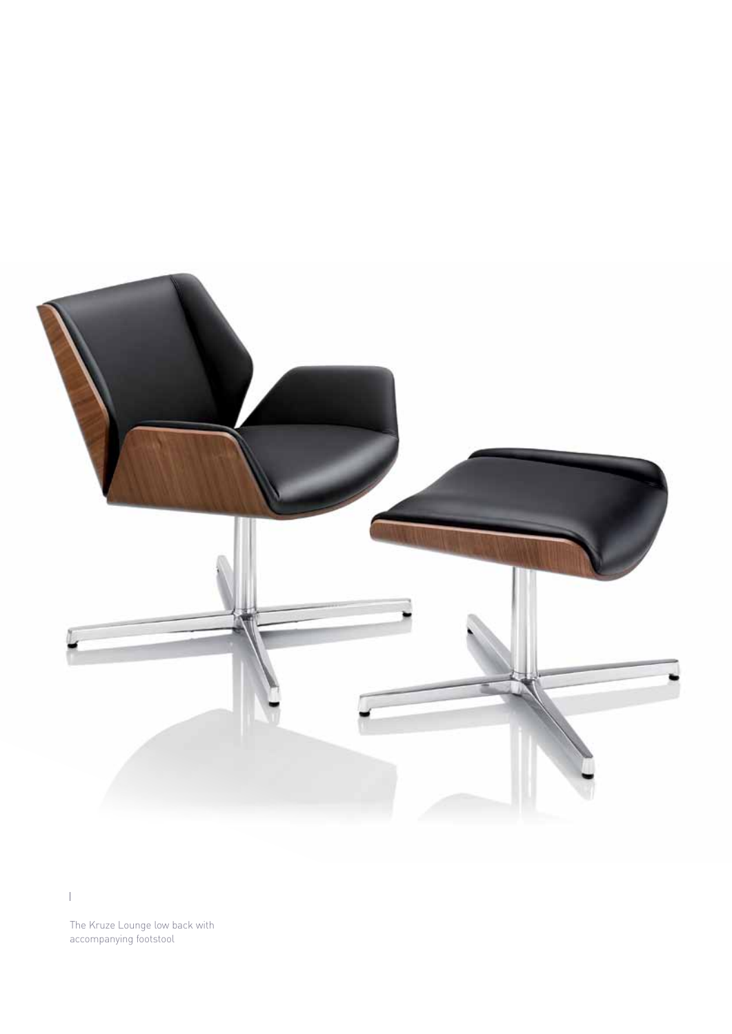

The Kruze Lounge low back with accompanying footstool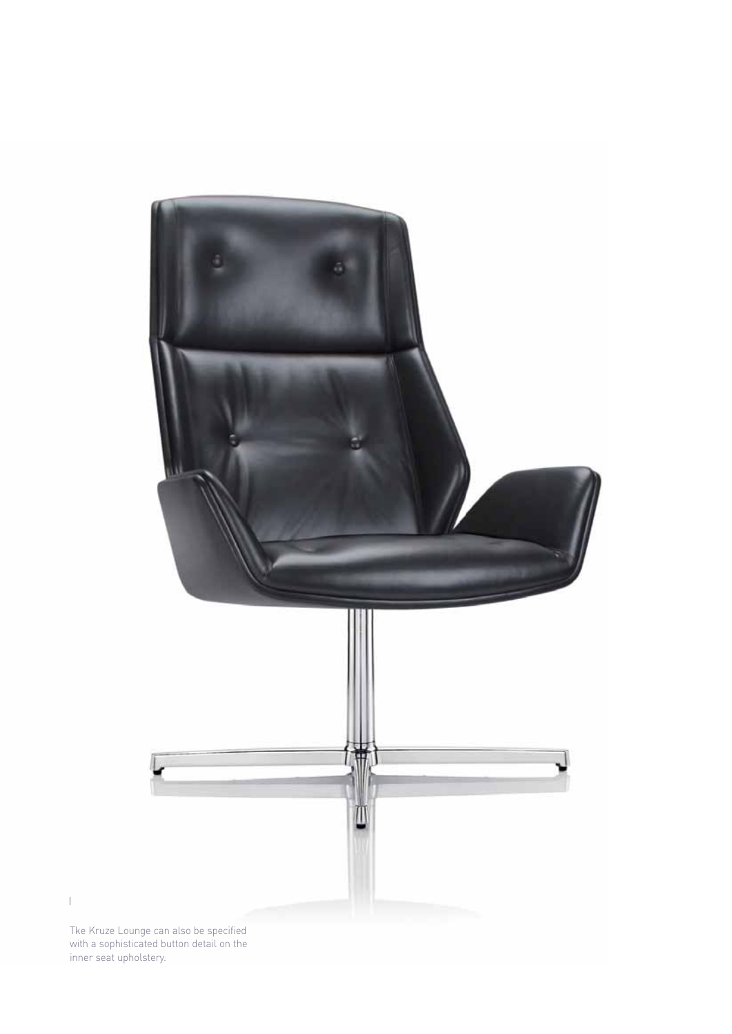

 $\|$ 

Tke Kruze Lounge can also be specified with a sophisticated button detail on the inner seat upholstery.